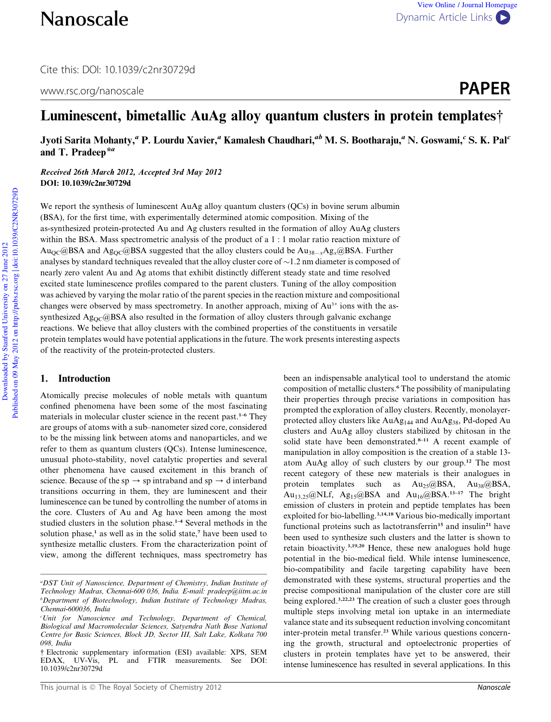Cite this: DOI: 10.1039/c2nr30729d

# www.rsc.org/nanoscale **PAPER**

# Luminescent, bimetallic AuAg alloy quantum clusters in protein templates†

Jyoti Sarita Mohanty," P. Lourdu Xavier," Kamalesh Chaudhari," $^{\it ab}$  M. S. Bootharaju," N. Goswami, $^{\it c}$  S. K. Pal $^{\it c}$ and T. Pradeep<sup>\*a</sup>

Received 26th March 2012, Accepted 3rd May 2012 DOI: 10.1039/c2nr30729d

We report the synthesis of luminescent AuAg alloy quantum clusters (QCs) in bovine serum albumin (BSA), for the first time, with experimentally determined atomic composition. Mixing of the as-synthesized protein-protected Au and Ag clusters resulted in the formation of alloy AuAg clusters within the BSA. Mass spectrometric analysis of the product of a 1 : 1 molar ratio reaction mixture of  $Au_{\rm OC}$  and  $\rm Ag_{\rm OC}$  and  $\rm Ag_{\rm OC}$  and suggested that the alloy clusters could be  $\rm Aug_{\rm x}$  $\rm Ag_{\rm x}$  and  $\rm Ag_{\rm AC}$ analyses by standard techniques revealed that the alloy cluster core of  $\sim$  1.2 nm diameter is composed of nearly zero valent Au and Ag atoms that exhibit distinctly different steady state and time resolved excited state luminescence profiles compared to the parent clusters. Tuning of the alloy composition was achieved by varying the molar ratio of the parent species in the reaction mixture and compositional changes were observed by mass spectrometry. In another approach, mixing of  $Au^{3+}$  ions with the assynthesized  $Ag_{OC}(a)BSA$  also resulted in the formation of alloy clusters through galvanic exchange reactions. We believe that alloy clusters with the combined properties of the constituents in versatile protein templates would have potential applications in the future. The work presents interesting aspects of the reactivity of the protein-protected clusters.

# 1. Introduction

Atomically precise molecules of noble metals with quantum confined phenomena have been some of the most fascinating materials in molecular cluster science in the recent past.<sup>1-6</sup> They are groups of atoms with a sub–nanometer sized core, considered to be the missing link between atoms and nanoparticles, and we refer to them as quantum clusters (QCs). Intense luminescence, unusual photo-stability, novel catalytic properties and several other phenomena have caused excitement in this branch of science. Because of the sp  $\rightarrow$  sp intraband and sp  $\rightarrow$  d interband transitions occurring in them, they are luminescent and their luminescence can be tuned by controlling the number of atoms in the core. Clusters of Au and Ag have been among the most studied clusters in the solution phase.1–4 Several methods in the solution phase,<sup>1</sup> as well as in the solid state,<sup>7</sup> have been used to synthesize metallic clusters. From the characterization point of view, among the different techniques, mass spectrometry has

been an indispensable analytical tool to understand the atomic composition of metallic clusters.<sup>6</sup> The possibility of manipulating their properties through precise variations in composition has prompted the exploration of alloy clusters. Recently, monolayerprotected alloy clusters like  $AuAg<sub>144</sub>$  and  $AuAg<sub>38</sub>$ , Pd-doped Au clusters and AuAg alloy clusters stabilized by chitosan in the solid state have been demonstrated.<sup>8-11</sup> A recent example of manipulation in alloy composition is the creation of a stable 13 atom AuAg alloy of such clusters by our group.<sup>12</sup> The most recent category of these new materials is their analogues in protein templates such as Au<sub>25</sub>@BSA, Au<sub>38</sub>@BSA, Au<sub>13,25</sub>@NLf, Ag<sub>15</sub>@BSA and Au<sub>16</sub>@BSA.<sup>13-17</sup> The bright emission of clusters in protein and peptide templates has been exploited for bio-labelling.3,14,18 Various bio-medically important functional proteins such as lactotransferrin<sup>15</sup> and insulin<sup>21</sup> have been used to synthesize such clusters and the latter is shown to retain bioactivity.<sup>3,19,20</sup> Hence, these new analogues hold huge potential in the bio-medical field. While intense luminescence, bio-compatibility and facile targeting capability have been demonstrated with these systems, structural properties and the precise compositional manipulation of the cluster core are still being explored.<sup>3,22,23</sup> The creation of such a cluster goes through multiple steps involving metal ion uptake in an intermediate valance state and its subsequent reduction involving concomitant inter-protein metal transfer.<sup>23</sup> While various questions concerning the growth, structural and optoelectronic properties of clusters in protein templates have yet to be answered, their intense luminescence has resulted in several applications. In this

*<sup>a</sup>DST Unit of Nanoscience, Department of Chemistry, Indian Institute of Technology Madras, Chennai-600 036, India. E-mail: pradeep@iitm.ac.in <sup>b</sup>Department of Biotechnology, Indian Institute of Technology Madras, Chennai-600036, India*

*<sup>c</sup>Unit for Nanoscience and Technology, Department of Chemical, Biological and Macromolecular Sciences, Satyendra Nath Bose National Centre for Basic Sciences, Block JD, Sector III, Salt Lake, Kolkata 700 098, India*

<sup>†</sup> Electronic supplementary information (ESI) available: XPS, SEM EDAX, UV-Vis, PL and FTIR measurements. See DOI: 10.1039/c2nr30729d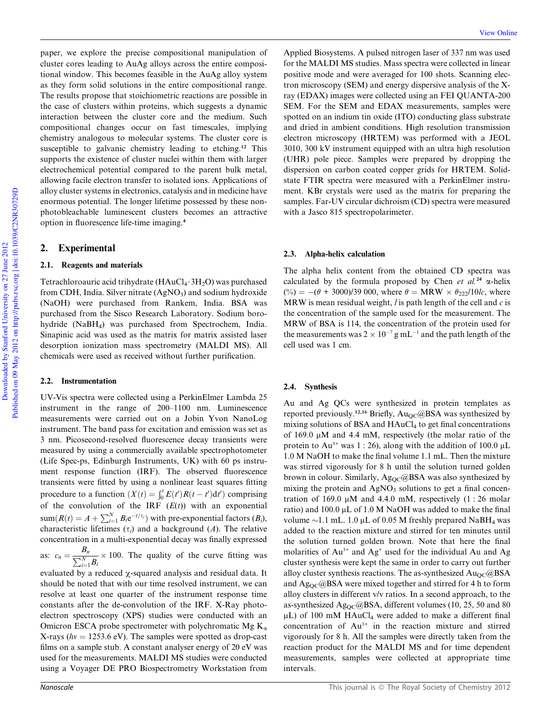paper, we explore the precise compositional manipulation of cluster cores leading to AuAg alloys across the entire compositional window. This becomes feasible in the AuAg alloy system as they form solid solutions in the entire compositional range. The results propose that stoichiometric reactions are possible in the case of clusters within proteins, which suggests a dynamic interaction between the cluster core and the medium. Such compositional changes occur on fast timescales, implying chemistry analogous to molecular systems. The cluster core is susceptible to galvanic chemistry leading to etching.<sup>12</sup> This supports the existence of cluster nuclei within them with larger electrochemical potential compared to the parent bulk metal, allowing facile electron transfer to isolated ions. Applications of alloy cluster systems in electronics, catalysis and in medicine have enormous potential. The longer lifetime possessed by these nonphotobleachable luminescent clusters becomes an attractive option in fluorescence life-time imaging.<sup>4</sup>

# 2. Experimental

#### 2.1. Reagents and materials

Tetrachloroauric acid trihydrate ( $HAuCl_4 \cdot 3H_2O$ ) was purchased from CDH, India. Silver nitrate  $(AgNO<sub>3</sub>)$  and sodium hydroxide (NaOH) were purchased from Rankem, India. BSA was purchased from the Sisco Research Laboratory. Sodium borohydride (NaBH4) was purchased from Spectrochem, India. Sinapinic acid was used as the matrix for matrix assisted laser desorption ionization mass spectrometry (MALDI MS). All chemicals were used as received without further purification.

## 2.2. Instrumentation

UV-Vis spectra were collected using a PerkinElmer Lambda 25 instrument in the range of 200–1100 nm. Luminescence measurements were carried out on a Jobin Yvon NanoLog instrument. The band pass for excitation and emission was set as 3 nm. Picosecond-resolved fluorescence decay transients were measured by using a commercially available spectrophotometer (Life Spec-ps, Edinburgh Instruments, UK) with 60 ps instrument response function (IRF). The observed fluorescence transients were fitted by using a nonlinear least squares fitting procedure to a function  $(X(t) = \int_0^t E(t')R(t - t')dt')$  comprising of the convolution of the IRF (*E*(*t*)) with an exponential  $sum(R(t) = A + \sum_{i=1}^{N} B_i e^{-t/\tau_i})$  with pre-exponential factors  $(B_i)$ , characteristic lifetimes  $(\tau_i)$  and a background  $(A)$ . The relative concentration in a multi-exponential decay was finally expressed

as:  $c_n = \frac{B_n}{\sum_{i=1}^{N}}$  $\frac{P_n}{\sum_{i=1}^{N} B_i} \times 100$ . The quality of the curve fitting was

evaluated by a reduced  $\chi$ -squared analysis and residual data. It should be noted that with our time resolved instrument, we can resolve at least one quarter of the instrument response time constants after the de-convolution of the IRF. X-Ray photoelectron spectroscopy (XPS) studies were conducted with an Omicron ESCA probe spectrometer with polychromatic Mg  $K_{\alpha}$ X-rays ( $hv = 1253.6$  eV). The samples were spotted as drop-cast films on a sample stub. A constant analyser energy of 20 eV was used for the measurements. MALDI MS studies were conducted using a Voyager DE PRO Biospectrometry Workstation from

Applied Biosystems. A pulsed nitrogen laser of 337 nm was used for the MALDI MS studies. Mass spectra were collected in linear positive mode and were averaged for 100 shots. Scanning electron microscopy (SEM) and energy dispersive analysis of the Xray (EDAX) images were collected using an FEI QUANTA-200 SEM. For the SEM and EDAX measurements, samples were spotted on an indium tin oxide (ITO) conducting glass substrate and dried in ambient conditions. High resolution transmission electron microscopy (HRTEM) was performed with a JEOL 3010, 300 kV instrument equipped with an ultra high resolution (UHR) pole piece. Samples were prepared by dropping the dispersion on carbon coated copper grids for HRTEM. Solidstate FTIR spectra were measured with a PerkinElmer instrument. KBr crystals were used as the matrix for preparing the samples. Far-UV circular dichroism (CD) spectra were measured with a Jasco 815 spectropolarimeter.

#### 2.3. Alpha-helix calculation

The alpha helix content from the obtained CD spectra was calculated by the formula proposed by Chen *et al.*<sup>24</sup>  $\alpha$ -helix  $(\%) = -(\theta + 3000)/39000$ , where  $\theta = MRW \times \theta_{222}/10/c$ , where MRW is mean residual weight, *l* is path length of the cell and *c* is the concentration of the sample used for the measurement. The MRW of BSA is 114, the concentration of the protein used for the measurements was  $2 \times 10^{-7}$  g mL<sup>-1</sup> and the path length of the cell used was 1 cm.

#### 2.4. Synthesis

Au and Ag QCs were synthesized in protein templates as reported previously.<sup>12,16</sup> Briefly, Au<sub>OC</sub>@BSA was synthesized by mixing solutions of BSA and  $HAuCl<sub>4</sub>$  to get final concentrations of 169.0  $\mu$ M and 4.4 mM, respectively (the molar ratio of the protein to Au<sup>3+</sup> was 1 : 26), along with the addition of 100.0  $\mu$ L 1.0 M NaOH to make the final volume 1.1 mL. Then the mixture was stirred vigorously for 8 h until the solution turned golden brown in colour. Similarly,  $Ag_{QC}$ @BSA was also synthesized by mixing the protein and  $AgNO<sub>3</sub>$  solutions to get a final concentration of 169.0  $\mu$ M and 4.4.0 mM, respectively (1 : 26 molar ratio) and 100.0 mL of 1.0 M NaOH was added to make the final volume  $\sim$ 1.1 mL. 1.0 µL of 0.05 M freshly prepared NaBH<sub>4</sub> was added to the reaction mixture and stirred for ten minutes until the solution turned golden brown. Note that here the final molarities of  $Au^{3+}$  and  $Ag^+$  used for the individual Au and Ag cluster synthesis were kept the same in order to carry out further alloy cluster synthesis reactions. The as-synthesized  $Au_{\text{OC}}@BSA$ and  $Ag_{OC}$ @BSA were mixed together and stirred for 4 h to form alloy clusters in different v/v ratios. In a second approach, to the as-synthesized Ag<sub>OC</sub>@BSA, different volumes (10, 25, 50 and 80  $\mu$ L) of 100 mM HAuCl<sub>4</sub> were added to make a different final concentration of  $Au^{3+}$  in the reaction mixture and stirred vigorously for 8 h. All the samples were directly taken from the reaction product for the MALDI MS and for time dependent measurements, samples were collected at appropriate time intervals.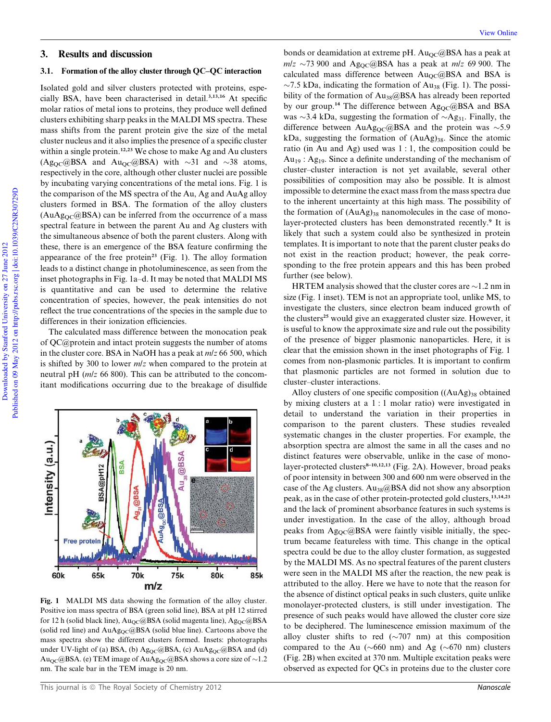# 3. Results and discussion

## 3.1. Formation of the alloy cluster through QC–QC interaction

Isolated gold and silver clusters protected with proteins, especially BSA, have been characterised in detail.3,13,16 At specific molar ratios of metal ions to proteins, they produce well defined clusters exhibiting sharp peaks in the MALDI MS spectra. These mass shifts from the parent protein give the size of the metal cluster nucleus and it also implies the presence of a specific cluster within a single protein.<sup>12,23</sup> We chose to make Ag and Au clusters  $(Ag_{QC}\omega BSA$  and  $Au_{QC}\omega BSA)$  with  $\sim$ 31 and  $\sim$ 38 atoms, respectively in the core, although other cluster nuclei are possible by incubating varying concentrations of the metal ions. Fig. 1 is the comparison of the MS spectra of the Au, Ag and AuAg alloy clusters formed in BSA. The formation of the alloy clusters  $(AuAg<sub>OC</sub>( $\omega$ BSA) can be inferred from the occurrence of a mass$ spectral feature in between the parent Au and Ag clusters with the simultaneous absence of both the parent clusters. Along with these, there is an emergence of the BSA feature confirming the appearance of the free protein<sup>23</sup> (Fig. 1). The alloy formation leads to a distinct change in photoluminescence, as seen from the inset photographs in Fig. 1a–d. It may be noted that MALDI MS is quantitative and can be used to determine the relative concentration of species, however, the peak intensities do not reflect the true concentrations of the species in the sample due to differences in their ionization efficiencies.

The calculated mass difference between the monocation peak of QC@protein and intact protein suggests the number of atoms in the cluster core. BSA in NaOH has a peak at *m*/*z* 66 500, which is shifted by 300 to lower *m*/*z* when compared to the protein at neutral pH (*m*/*z* 66 800). This can be attributed to the concomitant modifications occurring due to the breakage of disulfide



Fig. 1 MALDI MS data showing the formation of the alloy cluster. Positive ion mass spectra of BSA (green solid line), BSA at pH 12 stirred for 12 h (solid black line),  $Au_{OC}$ @BSA (solid magenta line),  $Ag_{OC}$ @BSA (solid red line) and  $AuAg_{OC}$ @BSA (solid blue line). Cartoons above the mass spectra show the different clusters formed. Insets: photographs under UV-light of (a) BSA, (b) Ag<sub>QC</sub>@BSA, (c) AuAg<sub>QC</sub>@BSA and (d) Au<sub>OC</sub>@BSA. (e) TEM image of AuAg<sub>OC</sub>@BSA shows a core size of ~1.2 nm. The scale bar in the TEM image is 20 nm.

bonds or deamidation at extreme pH.  $Au_{OC}$ @BSA has a peak at  $mlz \sim 73900$  and Ag<sub>OC</sub>@BSA has a peak at  $mlz$  69 900. The calculated mass difference between  $Au_{\text{OC}}(a)$ BSA and BSA is  $\sim$ 7.5 kDa, indicating the formation of Au<sub>38</sub> (Fig. 1). The possibility of the formation of  $Au_{38}$ @BSA has already been reported by our group.<sup>14</sup> The difference between  $\text{Ag_{OC}}@{\text{BSA}}$  and BSA was  $\sim$ 3.4 kDa, suggesting the formation of  $\sim$ Ag<sub>31</sub>. Finally, the difference between AuAg<sub>OC</sub>@BSA and the protein was  $\sim$ 5.9 kDa, suggesting the formation of  $(AuAg)_{38}$ . Since the atomic ratio (in Au and Ag) used was 1 : 1, the composition could be  $Au_{19}$ : Ag<sub>19</sub>. Since a definite understanding of the mechanism of cluster–cluster interaction is not yet available, several other possibilities of composition may also be possible. It is almost impossible to determine the exact mass from the mass spectra due to the inherent uncertainty at this high mass. The possibility of the formation of  $(AuAg)_{38}$  nanomolecules in the case of monolayer-protected clusters has been demonstrated recently.<sup>9</sup> It is likely that such a system could also be synthesized in protein templates. It is important to note that the parent cluster peaks do not exist in the reaction product; however, the peak corresponding to the free protein appears and this has been probed further (see below).

HRTEM analysis showed that the cluster cores are  $\sim$ 1.2 nm in size (Fig. 1 inset). TEM is not an appropriate tool, unlike MS, to investigate the clusters, since electron beam induced growth of the clusters<sup>25</sup> would give an exaggerated cluster size. However, it is useful to know the approximate size and rule out the possibility of the presence of bigger plasmonic nanoparticles. Here, it is clear that the emission shown in the inset photographs of Fig. 1 comes from non-plasmonic particles. It is important to confirm that plasmonic particles are not formed in solution due to cluster–cluster interactions.

Alloy clusters of one specific composition  $((AuAg)_{38}$  obtained by mixing clusters at a 1 : 1 molar ratio) were investigated in detail to understand the variation in their properties in comparison to the parent clusters. These studies revealed systematic changes in the cluster properties. For example, the absorption spectra are almost the same in all the cases and no distinct features were observable, unlike in the case of monolayer-protected clusters<sup>8-10,12,13</sup> (Fig. 2A). However, broad peaks of poor intensity in between 300 and 600 nm were observed in the case of the Ag clusters. Au<sub>38</sub>@BSA did not show any absorption peak, as in the case of other protein-protected gold clusters,<sup>13,14,23</sup> and the lack of prominent absorbance features in such systems is under investigation. In the case of the alloy, although broad peaks from Ag<sub>QC</sub>@BSA were faintly visible initially, the spectrum became featureless with time. This change in the optical spectra could be due to the alloy cluster formation, as suggested by the MALDI MS. As no spectral features of the parent clusters were seen in the MALDI MS after the reaction, the new peak is attributed to the alloy. Here we have to note that the reason for the absence of distinct optical peaks in such clusters, quite unlike monolayer-protected clusters, is still under investigation. The presence of such peaks would have allowed the cluster core size to be deciphered. The luminescence emission maximum of the alloy cluster shifts to red  $(\sim 707 \text{ nm})$  at this composition compared to the Au ( $\sim 660$  nm) and Ag ( $\sim 670$  nm) clusters (Fig. 2B) when excited at 370 nm. Multiple excitation peaks were observed as expected for QCs in proteins due to the cluster core

Downloaded by Stanford University on 27 June 2012

Downloaded by Stanford University on 27 June 2012

Published on 09 May 2012 on http://pubs.rsc.org | doi:10.1039/C2NR30729D

Published on 09 May 2012 on http://pubs.rsc.org | doi:10.1039/C2NR30729D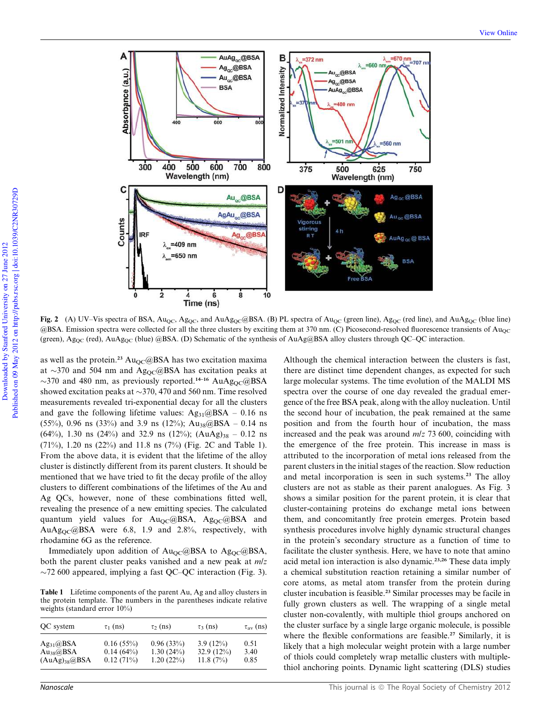

Fig. 2 (A) UV–Vis spectra of BSA,  $Au_{QC}$ ,  $Ag_{QC}$ , and  $AuAg_{QC}$ @BSA. (B) PL spectra of  $Au_{QC}$  (green line),  $Ag_{QC}$  (red line), and  $AuAg_{QC}$  (blue line) @BSA. Emission spectra were collected for all the three clusters by exciting them at 370 nm. (C) Picosecond-resolved fluorescence transients of Au<sub>OC</sub> (green), Ag<sub>OC</sub> (red), AuAg<sub>OC</sub> (blue) @BSA. (D) Schematic of the synthesis of AuAg@BSA alloy clusters through QC–QC interaction.

as well as the protein.<sup>23</sup> Au<sub>QC</sub>@BSA has two excitation maxima at  $\sim$ 370 and 504 nm and Ag<sub>OC</sub>@BSA has excitation peaks at  $\sim$ 370 and 480 nm, as previously reported.<sup>14–16</sup> AuAg<sub>OC</sub>@BSA showed excitation peaks at  $\sim$ 370, 470 and 560 nm. Time resolved measurements revealed tri-exponential decay for all the clusters and gave the following lifetime values:  $Ag_{31}@BSA - 0.16$  ns (55%), 0.96 ns (33%) and 3.9 ns (12%); Au<sub>38</sub>@BSA – 0.14 ns  $(64\%)$ , 1.30 ns (24%) and 32.9 ns (12%);  $(AuAg)_{38} = 0.12$  ns (71%), 1.20 ns (22%) and 11.8 ns (7%) (Fig. 2C and Table 1). From the above data, it is evident that the lifetime of the alloy cluster is distinctly different from its parent clusters. It should be mentioned that we have tried to fit the decay profile of the alloy clusters to different combinations of the lifetimes of the Au and Ag QCs, however, none of these combinations fitted well, revealing the presence of a new emitting species. The calculated quantum yield values for  $Au_{OC}$ @BSA,  $Ag_{OC}$ @BSA and AuAg<sub>OC</sub>@BSA were 6.8, 1.9 and 2.8%, respectively, with rhodamine 6G as the reference.

Immediately upon addition of  $Au_{OC}$ @BSA to Ag<sub>QC</sub>@BSA, both the parent cluster peaks vanished and a new peak at *m*/*z*  $\sim$ 72 600 appeared, implying a fast QC–QC interaction (Fig. 3).

Table 1 Lifetime components of the parent Au, Ag and alloy clusters in the protein template. The numbers in the parentheses indicate relative weights (standard error 10%)

| QC system          | $\tau_1$ (ns) | $\tau_2$ (ns) | $\tau_3$ (ns) | $\tau_{\rm av}$ (ns) |
|--------------------|---------------|---------------|---------------|----------------------|
| $Ag_{31}$ @BSA     | $0.16(55\%)$  | 0.96(33%)     | $3.9(12\%)$   | 0.51                 |
| $Au_{38}(a)BSA$    | $0.14(64\%)$  | 1.30(24%)     | 32.9 $(12\%)$ | 3.40                 |
| $(AuAg)_{38}$ @BSA | 0.12(71%)     | 1.20(22%)     | 11.8(7%)      | 0.85                 |

Although the chemical interaction between the clusters is fast, there are distinct time dependent changes, as expected for such large molecular systems. The time evolution of the MALDI MS spectra over the course of one day revealed the gradual emergence of the free BSA peak, along with the alloy nucleation. Until the second hour of incubation, the peak remained at the same position and from the fourth hour of incubation, the mass increased and the peak was around *m*/*z* 73 600, coinciding with the emergence of the free protein. This increase in mass is attributed to the incorporation of metal ions released from the parent clusters in the initial stages of the reaction. Slow reduction and metal incorporation is seen in such systems.<sup>23</sup> The alloy clusters are not as stable as their parent analogues. As Fig. 3 shows a similar position for the parent protein, it is clear that cluster-containing proteins do exchange metal ions between them, and concomitantly free protein emerges. Protein based synthesis procedures involve highly dynamic structural changes in the protein's secondary structure as a function of time to facilitate the cluster synthesis. Here, we have to note that amino acid metal ion interaction is also dynamic.23,26 These data imply a chemical substitution reaction retaining a similar number of core atoms, as metal atom transfer from the protein during cluster incubation is feasible.<sup>23</sup> Similar processes may be facile in fully grown clusters as well. The wrapping of a single metal cluster non-covalently, with multiple thiol groups anchored on the cluster surface by a single large organic molecule, is possible where the flexible conformations are feasible.<sup>27</sup> Similarly, it is likely that a high molecular weight protein with a large number of thiols could completely wrap metallic clusters with multiplethiol anchoring points. Dynamic light scattering (DLS) studies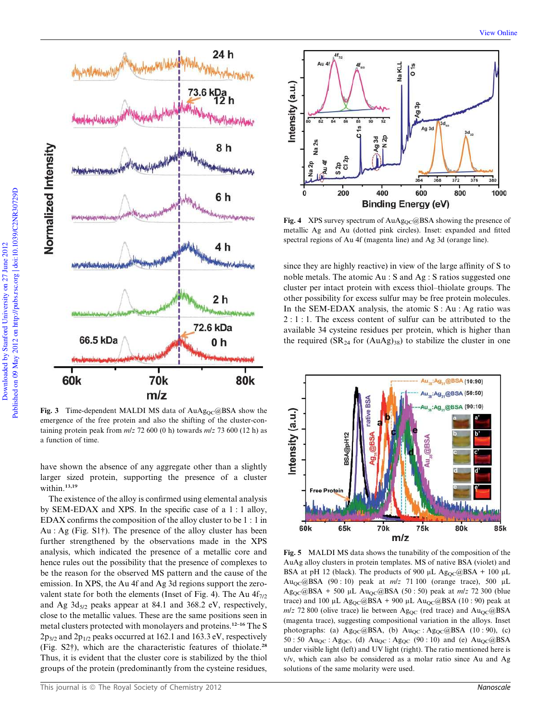

Fig. 3 Time-dependent MALDI MS data of  $AuAg_{OC}@BSA$  show the emergence of the free protein and also the shifting of the cluster-containing protein peak from  $m/z$  72 600 (0 h) towards  $m/z$  73 600 (12 h) as a function of time.

have shown the absence of any aggregate other than a slightly larger sized protein, supporting the presence of a cluster within.<sup>13,19</sup>

The existence of the alloy is confirmed using elemental analysis by SEM-EDAX and XPS. In the specific case of a 1 : 1 alloy, EDAX confirms the composition of the alloy cluster to be 1 : 1 in Au : Ag (Fig. S1†). The presence of the alloy cluster has been further strengthened by the observations made in the XPS analysis, which indicated the presence of a metallic core and hence rules out the possibility that the presence of complexes to be the reason for the observed MS pattern and the cause of the emission. In XPS, the Au 4f and Ag 3d regions support the zerovalent state for both the elements (Inset of Fig. 4). The Au  $4f_{7/2}$ and Ag  $3d_{5/2}$  peaks appear at 84.1 and 368.2 eV, respectively, close to the metallic values. These are the same positions seen in metal clusters protected with monolayers and proteins.12–16 The S  $2p_{3/2}$  and  $2p_{1/2}$  peaks occurred at 162.1 and 163.3 eV, respectively (Fig. S2†), which are the characteristic features of thiolate.<sup>28</sup> Thus, it is evident that the cluster core is stabilized by the thiol groups of the protein (predominantly from the cysteine residues,



Fig. 4 XPS survey spectrum of  $AuAg_{OC} @ BSA$  showing the presence of metallic Ag and Au (dotted pink circles). Inset: expanded and fitted spectral regions of Au 4f (magenta line) and Ag 3d (orange line).

since they are highly reactive) in view of the large affinity of S to noble metals. The atomic Au : S and Ag : S ratios suggested one cluster per intact protein with excess thiol–thiolate groups. The other possibility for excess sulfur may be free protein molecules. In the SEM-EDAX analysis, the atomic  $S : Au : Ag$  ratio was 2 : 1 : 1. The excess content of sulfur can be attributed to the available 34 cysteine residues per protein, which is higher than the required  $(SR_{24}$  for  $(AuAg)_{38})$  to stabilize the cluster in one



Fig. 5 MALDI MS data shows the tunability of the composition of the AuAg alloy clusters in protein templates. MS of native BSA (violet) and BSA at pH 12 (black). The products of 900 µL Ag<sub>OC</sub>@BSA + 100 µL AuQC@BSA (90 : 10) peak at *m*/*z* 71 100 (orange trace), 500 mL Ag<sub>OC</sub>@BSA + 500 μL Au<sub>OC</sub>@BSA (50 : 50) peak at *mlz* 72 300 (blue trace) and 100 µL Ag<sub>OC</sub>@BSA + 900 µL Au<sub>OC</sub>@BSA (10 : 90) peak at  $m/z$  72 800 (olive trace) lie between Ag<sub>OC</sub> (red trace) and  $Au_{\text{OC}}(a)$ BSA (magenta trace), suggesting compositional variation in the alloys. Inset photographs: (a)  $Ag_{QC}$ @BSA, (b)  $Au_{QC}$ : Ag<sub>QC</sub>@BSA (10:90), (c) 50 : 50 Au<sub>OC</sub> : Ag<sub>OC</sub>, (d) Au<sub>OC</sub> : Ag<sub>OC</sub> (90 : 10) and (e) Au<sub>OC</sub>@BSA under visible light (left) and UV light (right). The ratio mentioned here is v/v, which can also be considered as a molar ratio since Au and Ag solutions of the same molarity were used.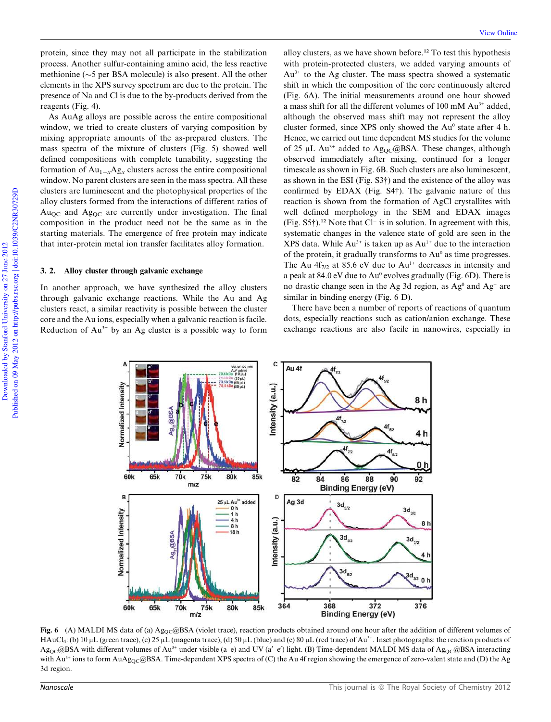protein, since they may not all participate in the stabilization process. Another sulfur-containing amino acid, the less reactive methionine ( $\sim$ 5 per BSA molecule) is also present. All the other elements in the XPS survey spectrum are due to the protein. The presence of Na and Cl is due to the by-products derived from the reagents (Fig. 4).

As AuAg alloys are possible across the entire compositional window, we tried to create clusters of varying composition by mixing appropriate amounts of the as-prepared clusters. The mass spectra of the mixture of clusters (Fig. 5) showed well defined compositions with complete tunability, suggesting the formation of  $Au_{1-x}Ag_x$  clusters across the entire compositional window. No parent clusters are seen in the mass spectra. All these clusters are luminescent and the photophysical properties of the alloy clusters formed from the interactions of different ratios of  $Au<sub>OC</sub>$  and  $Ag<sub>OC</sub>$  are currently under investigation. The final composition in the product need not be the same as in the starting materials. The emergence of free protein may indicate that inter-protein metal ion transfer facilitates alloy formation.

## 3. 2. Alloy cluster through galvanic exchange

In another approach, we have synthesized the alloy clusters through galvanic exchange reactions. While the Au and Ag clusters react, a similar reactivity is possible between the cluster core and the Au ions, especially when a galvanic reaction is facile. Reduction of  $Au^{3+}$  by an Ag cluster is a possible way to form

alloy clusters, as we have shown before.<sup>12</sup> To test this hypothesis with protein-protected clusters, we added varying amounts of  $Au^{3+}$  to the Ag cluster. The mass spectra showed a systematic shift in which the composition of the core continuously altered (Fig. 6A). The initial measurements around one hour showed a mass shift for all the different volumes of 100 mM Au3+ added, although the observed mass shift may not represent the alloy cluster formed, since XPS only showed the Au<sup>0</sup> state after 4 h. Hence, we carried out time dependent MS studies for the volume of 25  $\mu$ L Au<sup>3+</sup> added to Ag<sub>OC</sub>@BSA. These changes, although observed immediately after mixing, continued for a longer timescale as shown in Fig. 6B. Such clusters are also luminescent, as shown in the ESI (Fig. S3†) and the existence of the alloy was confirmed by EDAX (Fig. S4†). The galvanic nature of this reaction is shown from the formation of AgCl crystallites with well defined morphology in the SEM and EDAX images (Fig.  $S5\dagger$ ).<sup>12</sup> Note that Cl<sup>-</sup> is in solution. In agreement with this, systematic changes in the valence state of gold are seen in the XPS data. While  $Au^{3+}$  is taken up as  $Au^{1+}$  due to the interaction of the protein, it gradually transforms to  $Au^0$  as time progresses. The Au  $4f_{7/2}$  at 85.6 eV due to Au<sup>1+</sup> decreases in intensity and a peak at 84.0 eV due to Au<sup>0</sup> evolves gradually (Fig. 6D). There is no drastic change seen in the Ag 3d region, as  $Ag^0$  and  $Ag^+$  are similar in binding energy (Fig. 6 D).

There have been a number of reports of reactions of quantum dots, especially reactions such as cation/anion exchange. These exchange reactions are also facile in nanowires, especially in



Fig. 6 (A) MALDI MS data of (a) Ag<sub>OC</sub>@BSA (violet trace), reaction products obtained around one hour after the addition of different volumes of HAuCl<sub>4</sub>: (b) 10  $\mu$ L (green trace), (c) 25  $\mu$ L (magenta trace), (d) 50  $\mu$ L (blue) and (e) 80  $\mu$ L (red trace) of Au<sup>3+</sup>. Inset photographs: the reaction products of  $Ag_{QC}$ @BSA with different volumes of Au<sup>3+</sup> under visible (a–e) and UV (a'–e') light. (B) Time-dependent MALDI MS data of Ag<sub>QC</sub>@BSA interacting with  $Au^{3+}$  ions to form  $AuAg_{OC}$ @BSA. Time-dependent XPS spectra of (C) the Au 4f region showing the emergence of zero-valent state and (D) the Ag 3d region.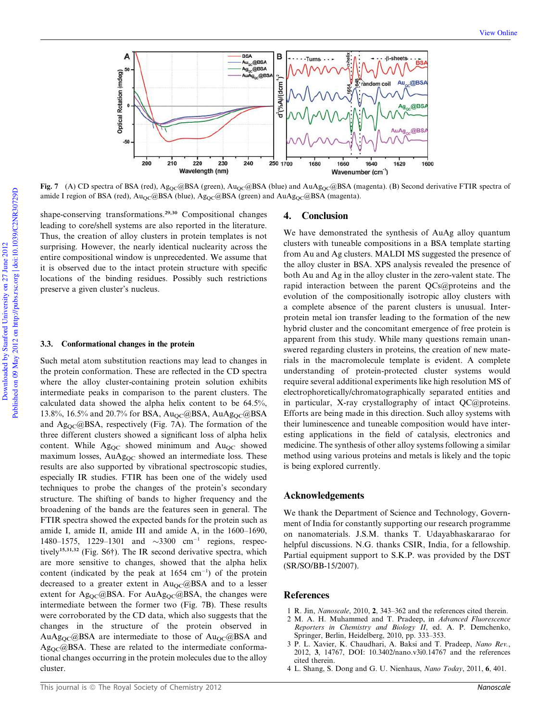

Fig. 7 (A) CD spectra of BSA (red), Ag<sub>QC</sub>@BSA (green), Au<sub>QC</sub>@BSA (blue) and AuAg<sub>QC</sub>@BSA (magenta). (B) Second derivative FTIR spectra of amide I region of BSA (red),  $Au_{\text{OC}}@BSA$  (blue),  $Ag_{\text{OC}}@BSA$  (green) and  $AuAg_{\text{OC}}@BSA$  (magenta).

shape-conserving transformations.<sup>29,30</sup> Compositional changes leading to core/shell systems are also reported in the literature. Thus, the creation of alloy clusters in protein templates is not surprising. However, the nearly identical nuclearity across the entire compositional window is unprecedented. We assume that it is observed due to the intact protein structure with specific locations of the binding residues. Possibly such restrictions preserve a given cluster's nucleus.

#### 3.3. Conformational changes in the protein

Such metal atom substitution reactions may lead to changes in the protein conformation. These are reflected in the CD spectra where the alloy cluster-containing protein solution exhibits intermediate peaks in comparison to the parent clusters. The calculated data showed the alpha helix content to be 64.5%, 13.8%, 16.5% and 20.7% for BSA, Au<sub>QC</sub>@BSA, AuAg<sub>QC</sub>@BSA and  $Ag_{OC}$ @BSA, respectively (Fig. 7A). The formation of the three different clusters showed a significant loss of alpha helix content. While  $Ag_{QC}$  showed minimum and  $Au_{QC}$  showed maximum losses,  $AuAg_{OC}$  showed an intermediate loss. These results are also supported by vibrational spectroscopic studies, especially IR studies. FTIR has been one of the widely used techniques to probe the changes of the protein's secondary structure. The shifting of bands to higher frequency and the broadening of the bands are the features seen in general. The FTIR spectra showed the expected bands for the protein such as amide I, amide II, amide III and amide A, in the 1600–1690, 1480–1575, 1229–1301 and  $\sim$ 3300 cm<sup>-1</sup> regions, respectively15,31,32 (Fig. S6†). The IR second derivative spectra, which are more sensitive to changes, showed that the alpha helix content (indicated by the peak at  $1654 \text{ cm}^{-1}$ ) of the protein decreased to a greater extent in  $Au_{OC}$  (a) BSA and to a lesser extent for  $Ag_{QC}$ @BSA. For AuAg<sub>QC</sub>@BSA, the changes were intermediate between the former two (Fig. 7B). These results were corroborated by the CD data, which also suggests that the changes in the structure of the protein observed in AuAg<sub>OC</sub>@BSA are intermediate to those of Au<sub>OC</sub>@BSA and  $Ag_{OC}$ @BSA. These are related to the intermediate conformational changes occurring in the protein molecules due to the alloy cluster.

# 4. Conclusion

We have demonstrated the synthesis of AuAg alloy quantum clusters with tuneable compositions in a BSA template starting from Au and Ag clusters. MALDI MS suggested the presence of the alloy cluster in BSA. XPS analysis revealed the presence of both Au and Ag in the alloy cluster in the zero-valent state. The rapid interaction between the parent QCs@proteins and the evolution of the compositionally isotropic alloy clusters with a complete absence of the parent clusters is unusual. Interprotein metal ion transfer leading to the formation of the new hybrid cluster and the concomitant emergence of free protein is apparent from this study. While many questions remain unanswered regarding clusters in proteins, the creation of new materials in the macromolecule template is evident. A complete understanding of protein-protected cluster systems would require several additional experiments like high resolution MS of electrophoretically/chromatographically separated entities and in particular, X-ray crystallography of intact QC@proteins. Efforts are being made in this direction. Such alloy systems with their luminescence and tuneable composition would have interesting applications in the field of catalysis, electronics and medicine. The synthesis of other alloy systems following a similar method using various proteins and metals is likely and the topic is being explored currently.

# Acknowledgements

We thank the Department of Science and Technology, Government of India for constantly supporting our research programme on nanomaterials. J.S.M. thanks T. Udayabhaskararao for helpful discussions. N.G. thanks CSIR, India, for a fellowship. Partial equipment support to S.K.P. was provided by the DST (SR/SO/BB-15/2007).

# References

- 1 R. Jin, *Nanoscale*, 2010, 2, 343–362 and the references cited therein.
- 2 M. A. H. Muhammed and T. Pradeep, in *Advanced Fluorescence Reporters in Chemistry and Biology II*, ed. A. P. Demchenko, Springer, Berlin, Heidelberg, 2010, pp. 333–353.
- 3 P. L. Xavier, K. Chaudhari, A. Baksi and T. Pradeep, *Nano Rev.*, 2012, 3, 14767, DOI: 10.3402/nano.v3i0.14767 and the references cited therein.
- 4 L. Shang, S. Dong and G. U. Nienhaus, *Nano Today*, 2011, 6, 401.

Downloaded by Stanford University on 27 June 2012

Downloaded by Stanford University on 27 June 2012

Published on 09 May 2012 on http://pubs.rsc.org | doi:10.1039/C2NR30729D

Published on 09 May 2012 on http://pubs.rsc.org doi:10.1039/C2NR30729D